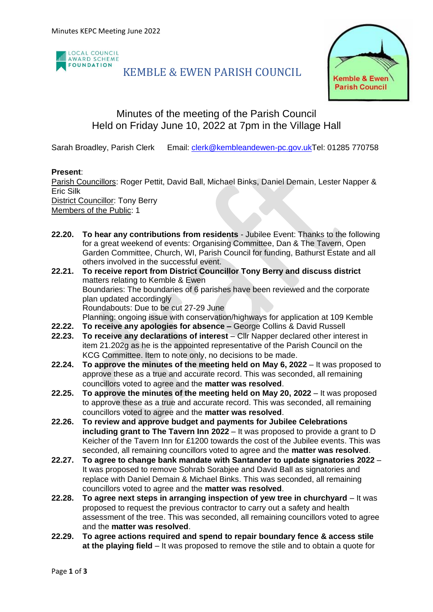

# KEMBLE & EWEN PARISH COUNCIL



# Minutes of the meeting of the Parish Council Held on Friday June 10, 2022 at 7pm in the Village Hall

Sarah Broadley, Parish Clerk Email: [clerk@kembleandewen-pc.gov.ukT](mailto:clerk@kembleandewen-pc.gov.uk)el: 01285 770758

### **Present**:

Parish Councillors: Roger Pettit, David Ball, Michael Binks, Daniel Demain, Lester Napper & Eric Silk District Councillor: Tony Berry Members of the Public: 1

- **22.20. To hear any contributions from residents** Jubilee Event: Thanks to the following for a great weekend of events: Organising Committee, Dan & The Tavern, Open Garden Committee, Church, WI, Parish Council for funding, Bathurst Estate and all others involved in the successful event.
- **22.21. To receive report from District Councillor Tony Berry and discuss district** matters relating to Kemble & Ewen Boundaries: The boundaries of 6 parishes have been reviewed and the corporate plan updated accordingly Roundabouts: Due to be cut 27-29 June Planning: ongoing issue with conservation/highways for application at 109 Kemble
- **22.22. To receive any apologies for absence –** George Collins & David Russell
- **22.23. To receive any declarations of interest** Cllr Napper declared other interest in item 21.202g as he is the appointed representative of the Parish Council on the KCG Committee. Item to note only, no decisions to be made.
- **22.24. To approve the minutes of the meeting held on May 6, 2022** It was proposed to approve these as a true and accurate record. This was seconded, all remaining councillors voted to agree and the **matter was resolved**.
- **22.25. To approve the minutes of the meeting held on May 20, 2022** It was proposed to approve these as a true and accurate record. This was seconded, all remaining councillors voted to agree and the **matter was resolved**.
- **22.26. To review and approve budget and payments for Jubilee Celebrations including grant to The Tavern Inn 2022** – It was proposed to provide a grant to D Keicher of the Tavern Inn for £1200 towards the cost of the Jubilee events. This was seconded, all remaining councillors voted to agree and the **matter was resolved**.
- **22.27. To agree to change bank mandate with Santander to update signatories 2022** It was proposed to remove Sohrab Sorabjee and David Ball as signatories and replace with Daniel Demain & Michael Binks. This was seconded, all remaining councillors voted to agree and the **matter was resolved**.
- **22.28. To agree next steps in arranging inspection of yew tree in churchyard** It was proposed to request the previous contractor to carry out a safety and health assessment of the tree. This was seconded, all remaining councillors voted to agree and the **matter was resolved**.
- **22.29. To agree actions required and spend to repair boundary fence & access stile at the playing field** – It was proposed to remove the stile and to obtain a quote for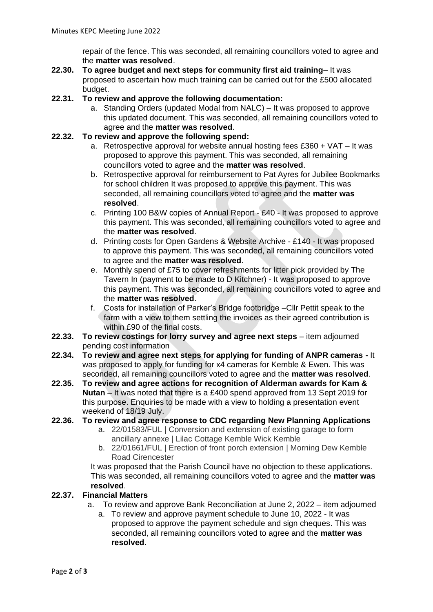repair of the fence. This was seconded, all remaining councillors voted to agree and the **matter was resolved**.

- **22.30. To agree budget and next steps for community first aid training** It was proposed to ascertain how much training can be carried out for the £500 allocated budget.
- **22.31. To review and approve the following documentation:**
	- a. Standing Orders (updated Modal from NALC) It was proposed to approve this updated document. This was seconded, all remaining councillors voted to agree and the **matter was resolved**.
- **22.32. To review and approve the following spend:**
	- a. Retrospective approval for website annual hosting fees  $£360 + VAT It$  was proposed to approve this payment. This was seconded, all remaining councillors voted to agree and the **matter was resolved**.
	- b. Retrospective approval for reimbursement to Pat Ayres for Jubilee Bookmarks for school children It was proposed to approve this payment. This was seconded, all remaining councillors voted to agree and the **matter was resolved**.
	- c. Printing 100 B&W copies of Annual Report £40 It was proposed to approve this payment. This was seconded, all remaining councillors voted to agree and the **matter was resolved**.
	- d. Printing costs for Open Gardens & Website Archive £140 It was proposed to approve this payment. This was seconded, all remaining councillors voted to agree and the **matter was resolved**.
	- e. Monthly spend of £75 to cover refreshments for litter pick provided by The Tavern In (payment to be made to D Kitchner) - It was proposed to approve this payment. This was seconded, all remaining councillors voted to agree and the **matter was resolved**.
	- f. Costs for installation of Parker's Bridge footbridge –Cllr Pettit speak to the farm with a view to them settling the invoices as their agreed contribution is within £90 of the final costs.
- **22.33. To review costings for lorry survey and agree next steps** item adjourned pending cost information
- **22.34. To review and agree next steps for applying for funding of ANPR cameras -** It was proposed to apply for funding for x4 cameras for Kemble & Ewen. This was seconded, all remaining councillors voted to agree and the **matter was resolved**.
- **22.35. To review and agree actions for recognition of Alderman awards for Kam & Nutan** – It was noted that there is a £400 spend approved from 13 Sept 2019 for this purpose. Enquiries to be made with a view to holding a presentation event weekend of 18/19 July.

#### **22.36. To review and agree response to CDC regarding New Planning Applications**

- a. 22/01583/FUL | Conversion and extension of existing garage to form ancillary annexe | Lilac Cottage Kemble Wick Kemble
- b. 22/01661/FUL | Erection of front porch extension | Morning Dew Kemble Road Cirencester

It was proposed that the Parish Council have no objection to these applications. This was seconded, all remaining councillors voted to agree and the **matter was resolved**.

#### **22.37. Financial Matters**

- a. To review and approve Bank Reconciliation at June 2, 2022 item adjourned
	- a. To review and approve payment schedule to June 10, 2022 It was proposed to approve the payment schedule and sign cheques. This was seconded, all remaining councillors voted to agree and the **matter was resolved**.